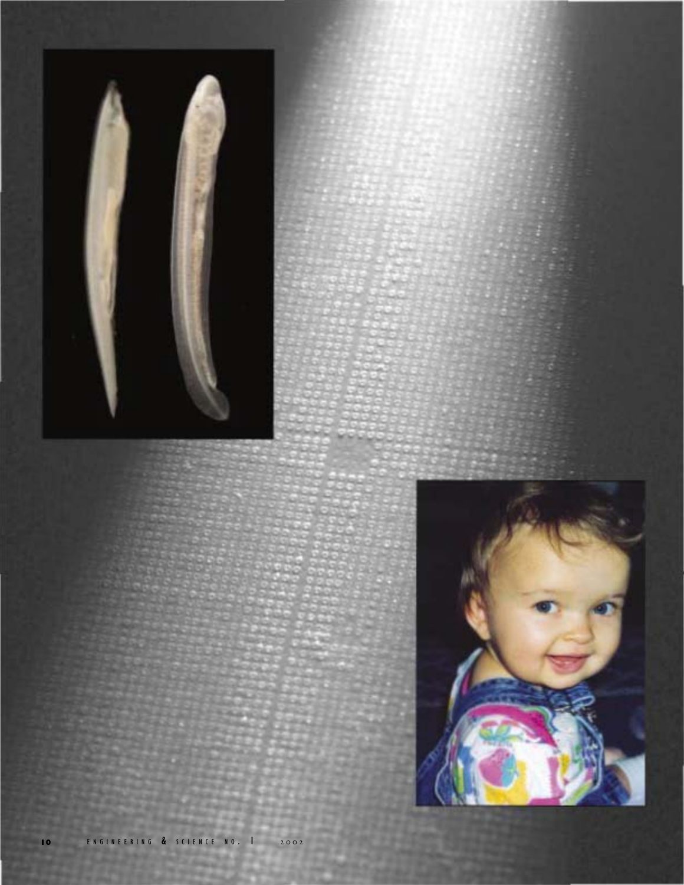

2942 IJ. 4445 296444

The

is ag



53356

**PARKER** 

**Council** 

5882.58

**Beetle** 

مت

職場

斑斑斑

,,,

9442

990

99953 **PARTIES BARTES** 59994 39.00

*CONTRACTOR*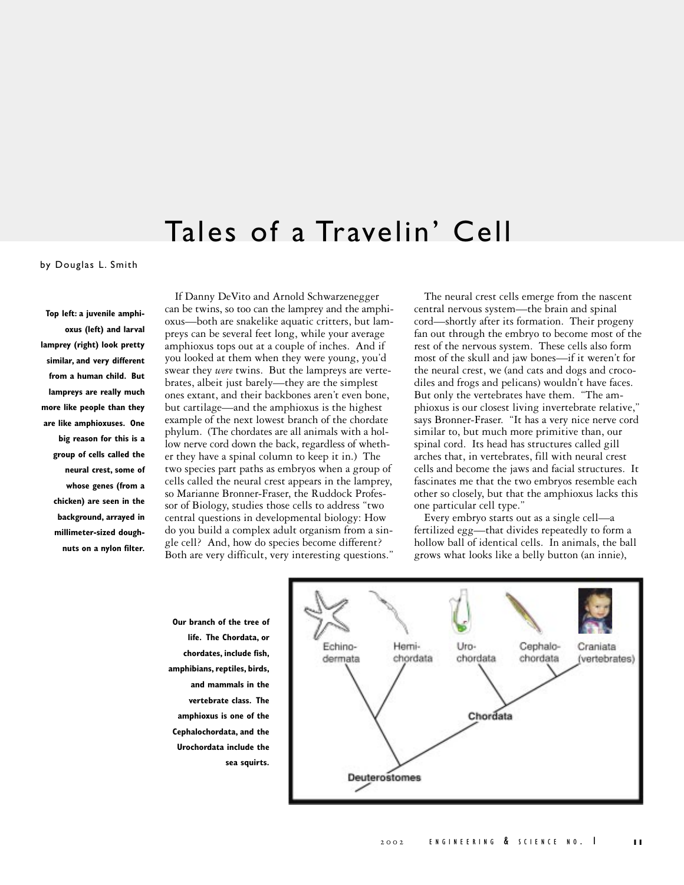# Tales of a Travelin' Cell

by Douglas L. Smith

**Top left: a juvenile amphioxus (left) and larval lamprey (right) look pretty similar, and very different from a human child. But lampreys are really much more like people than they are like amphioxuses. One big reason for this is a group of cells called the neural crest, some of whose genes (from a chicken) are seen in the background, arrayed in millimeter-sized doughnuts on a nylon filter.**

If Danny DeVito and Arnold Schwarzenegger can be twins, so too can the lamprey and the amphioxus—both are snakelike aquatic critters, but lampreys can be several feet long, while your average amphioxus tops out at a couple of inches. And if you looked at them when they were young, you'd swear they *were* twins. But the lampreys are vertebrates, albeit just barely—they are the simplest ones extant, and their backbones aren't even bone, but cartilage—and the amphioxus is the highest example of the next lowest branch of the chordate phylum. (The chordates are all animals with a hollow nerve cord down the back, regardless of whether they have a spinal column to keep it in.) The two species part paths as embryos when a group of cells called the neural crest appears in the lamprey, so Marianne Bronner-Fraser, the Ruddock Professor of Biology, studies those cells to address "two central questions in developmental biology: How do you build a complex adult organism from a single cell? And, how do species become different? Both are very difficult, very interesting questions."

The neural crest cells emerge from the nascent central nervous system—the brain and spinal cord—shortly after its formation. Their progeny fan out through the embryo to become most of the rest of the nervous system. These cells also form most of the skull and jaw bones—if it weren't for the neural crest, we (and cats and dogs and crocodiles and frogs and pelicans) wouldn't have faces. But only the vertebrates have them. "The amphioxus is our closest living invertebrate relative," says Bronner-Fraser. "It has a very nice nerve cord similar to, but much more primitive than, our spinal cord. Its head has structures called gill arches that, in vertebrates, fill with neural crest cells and become the jaws and facial structures. It fascinates me that the two embryos resemble each other so closely, but that the amphioxus lacks this one particular cell type."

Every embryo starts out as a single cell—a fertilized egg—that divides repeatedly to form a hollow ball of identical cells. In animals, the ball grows what looks like a belly button (an innie),

**life. The Chordata, or chordates, include fish, amphibians, reptiles, birds, and mammals in the vertebrate class. The amphioxus is one of the Cephalochordata, and the Urochordata include the sea squirts.**

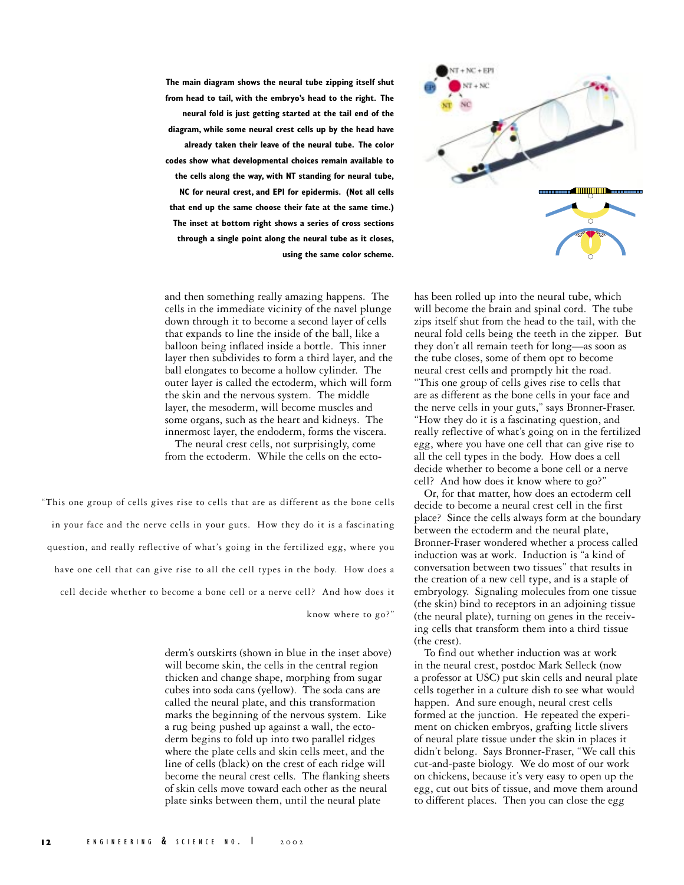

has been rolled up into the neural tube, which will become the brain and spinal cord. The tube zips itself shut from the head to the tail, with the neural fold cells being the teeth in the zipper. But they don't all remain teeth for long—as soon as the tube closes, some of them opt to become neural crest cells and promptly hit the road. "This one group of cells gives rise to cells that are as different as the bone cells in your face and the nerve cells in your guts," says Bronner-Fraser. "How they do it is a fascinating question, and really reflective of what's going on in the fertilized egg, where you have one cell that can give rise to all the cell types in the body. How does a cell decide whether to become a bone cell or a nerve cell? And how does it know where to go?"

Or, for that matter, how does an ectoderm cell decide to become a neural crest cell in the first place? Since the cells always form at the boundary between the ectoderm and the neural plate, Bronner-Fraser wondered whether a process called induction was at work. Induction is "a kind of conversation between two tissues" that results in the creation of a new cell type, and is a staple of embryology. Signaling molecules from one tissue (the skin) bind to receptors in an adjoining tissue (the neural plate), turning on genes in the receiving cells that transform them into a third tissue (the crest).

To find out whether induction was at work in the neural crest, postdoc Mark Selleck (now a professor at USC) put skin cells and neural plate cells together in a culture dish to see what would happen. And sure enough, neural crest cells formed at the junction. He repeated the experiment on chicken embryos, grafting little slivers of neural plate tissue under the skin in places it didn't belong. Says Bronner-Fraser, "We call this cut-and-paste biology. We do most of our work on chickens, because it's very easy to open up the egg, cut out bits of tissue, and move them around to different places. Then you can close the egg

**The main diagram shows the neural tube zipping itself shut from head to tail, with the embryo's head to the right. The neural fold is just getting started at the tail end of the diagram, while some neural crest cells up by the head have already taken their leave of the neural tube. The color codes show what developmental choices remain available to the cells along the way, with NT standing for neural tube, NC for neural crest, and EPI for epidermis. (Not all cells that end up the same choose their fate at the same time.) The inset at bottom right shows a series of cross sections through a single point along the neural tube as it closes, using the same color scheme.**

and then something really amazing happens. The cells in the immediate vicinity of the navel plunge down through it to become a second layer of cells that expands to line the inside of the ball, like a balloon being inflated inside a bottle. This inner layer then subdivides to form a third layer, and the ball elongates to become a hollow cylinder. The outer layer is called the ectoderm, which will form the skin and the nervous system. The middle layer, the mesoderm, will become muscles and some organs, such as the heart and kidneys. The innermost layer, the endoderm, forms the viscera. The neural crest cells, not surprisingly, come

from the ectoderm. While the cells on the ecto-

"This one group of cells gives rise to cells that are as different as the bone cells in your face and the nerve cells in your guts. How they do it is a fascinating question, and really reflective of what's going in the fertilized egg, where you have one cell that can give rise to all the cell types in the body. How does a cell decide whether to become a bone cell or a nerve cell? And how does it

know where to go?"

derm's outskirts (shown in blue in the inset above) will become skin, the cells in the central region thicken and change shape, morphing from sugar cubes into soda cans (yellow). The soda cans are called the neural plate, and this transformation marks the beginning of the nervous system. Like a rug being pushed up against a wall, the ectoderm begins to fold up into two parallel ridges where the plate cells and skin cells meet, and the line of cells (black) on the crest of each ridge will become the neural crest cells. The flanking sheets of skin cells move toward each other as the neural plate sinks between them, until the neural plate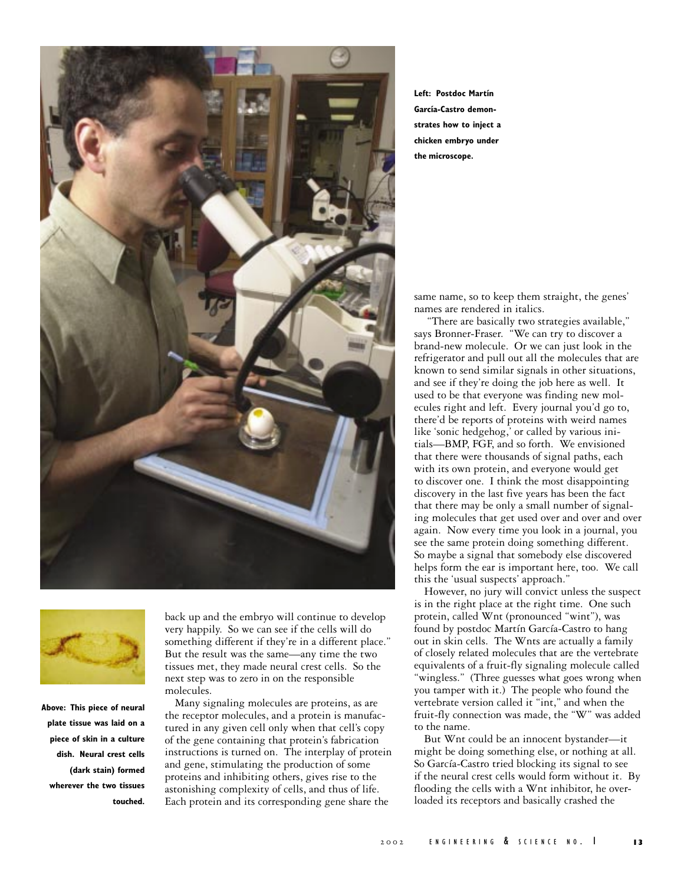



**Above: This piece of neural plate tissue was laid on a piece of skin in a culture dish. Neural crest cells (dark stain) formed wherever the two tissues touched.**

back up and the embryo will continue to develop very happily. So we can see if the cells will do something different if they're in a different place." But the result was the same—any time the two tissues met, they made neural crest cells. So the next step was to zero in on the responsible molecules.

Many signaling molecules are proteins, as are the receptor molecules, and a protein is manufactured in any given cell only when that cell's copy of the gene containing that protein's fabrication instructions is turned on. The interplay of protein and gene, stimulating the production of some proteins and inhibiting others, gives rise to the astonishing complexity of cells, and thus of life. Each protein and its corresponding gene share the

**Left: Postdoc Martín García-Castro demonstrates how to inject a chicken embryo under the microscope.**

same name, so to keep them straight, the genes' names are rendered in italics.

 "There are basically two strategies available," says Bronner-Fraser. "We can try to discover a brand-new molecule. Or we can just look in the refrigerator and pull out all the molecules that are known to send similar signals in other situations, and see if they're doing the job here as well. It used to be that everyone was finding new molecules right and left. Every journal you'd go to, there'd be reports of proteins with weird names like 'sonic hedgehog,' or called by various initials—BMP, FGF, and so forth. We envisioned that there were thousands of signal paths, each with its own protein, and everyone would get to discover one. I think the most disappointing discovery in the last five years has been the fact that there may be only a small number of signaling molecules that get used over and over and over again. Now every time you look in a journal, you see the same protein doing something different. So maybe a signal that somebody else discovered helps form the ear is important here, too. We call this the 'usual suspects' approach."

However, no jury will convict unless the suspect is in the right place at the right time. One such protein, called Wnt (pronounced "wint"), was found by postdoc Martín García-Castro to hang out in skin cells. The Wnts are actually a family of closely related molecules that are the vertebrate equivalents of a fruit-fly signaling molecule called "wingless." (Three guesses what goes wrong when you tamper with it.) The people who found the vertebrate version called it "int," and when the fruit-fly connection was made, the "W" was added to the name.

But Wnt could be an innocent bystander—it might be doing something else, or nothing at all. So García-Castro tried blocking its signal to see if the neural crest cells would form without it. By flooding the cells with a Wnt inhibitor, he overloaded its receptors and basically crashed the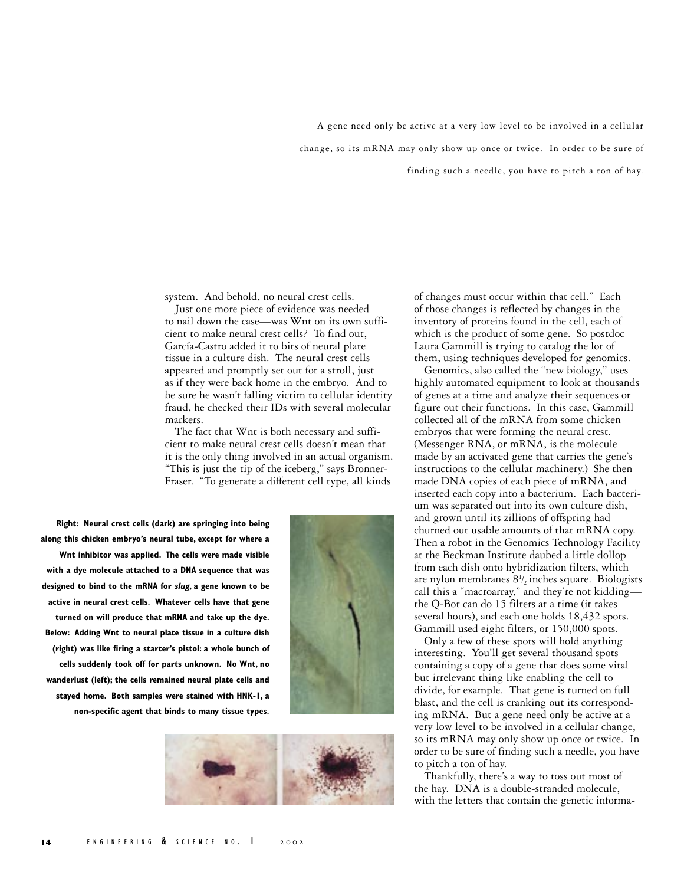A gene need only be active at a very low level to be involved in a cellular

change, so its mRNA may only show up once or twice. In order to be sure of

finding such a needle, you have to pitch a ton of hay.

system. And behold, no neural crest cells.

Just one more piece of evidence was needed to nail down the case—was Wnt on its own sufficient to make neural crest cells? To find out, García-Castro added it to bits of neural plate tissue in a culture dish. The neural crest cells appeared and promptly set out for a stroll, just as if they were back home in the embryo. And to be sure he wasn't falling victim to cellular identity fraud, he checked their IDs with several molecular markers.

The fact that Wnt is both necessary and sufficient to make neural crest cells doesn't mean that it is the only thing involved in an actual organism. "This is just the tip of the iceberg," says Bronner-Fraser. "To generate a different cell type, all kinds

 **Right: Neural crest cells (dark) are springing into being along this chicken embryo's neural tube, except for where a Wnt inhibitor was applied. The cells were made visible with a dye molecule attached to a DNA sequence that was designed to bind to the mRNA for slug, a gene known to be active in neural crest cells. Whatever cells have that gene turned on will produce that mRNA and take up the dye. Below: Adding Wnt to neural plate tissue in a culture dish (right) was like firing a starter's pistol: a whole bunch of cells suddenly took off for parts unknown. No Wnt, no wanderlust (left); the cells remained neural plate cells and stayed home. Both samples were stained with HNK-1, a non-specific agent that binds to many tissue types.**





of changes must occur within that cell." Each of those changes is reflected by changes in the inventory of proteins found in the cell, each of which is the product of some gene. So postdoc Laura Gammill is trying to catalog the lot of them, using techniques developed for genomics.

Genomics, also called the "new biology," uses highly automated equipment to look at thousands of genes at a time and analyze their sequences or figure out their functions. In this case, Gammill collected all of the mRNA from some chicken embryos that were forming the neural crest. (Messenger RNA, or mRNA, is the molecule made by an activated gene that carries the gene's instructions to the cellular machinery.) She then made DNA copies of each piece of mRNA, and inserted each copy into a bacterium. Each bacterium was separated out into its own culture dish, and grown until its zillions of offspring had churned out usable amounts of that mRNA copy. Then a robot in the Genomics Technology Facility at the Beckman Institute daubed a little dollop from each dish onto hybridization filters, which are nylon membranes  $8^{1\!\!}/_2$  inches square. Biologists call this a "macroarray," and they're not kidding the Q-Bot can do 15 filters at a time (it takes several hours), and each one holds 18,432 spots. Gammill used eight filters, or 150,000 spots.

Only a few of these spots will hold anything interesting. You'll get several thousand spots containing a copy of a gene that does some vital but irrelevant thing like enabling the cell to divide, for example. That gene is turned on full blast, and the cell is cranking out its corresponding mRNA. But a gene need only be active at a very low level to be involved in a cellular change, so its mRNA may only show up once or twice. In order to be sure of finding such a needle, you have to pitch a ton of hay.

Thankfully, there's a way to toss out most of the hay. DNA is a double-stranded molecule, with the letters that contain the genetic informa-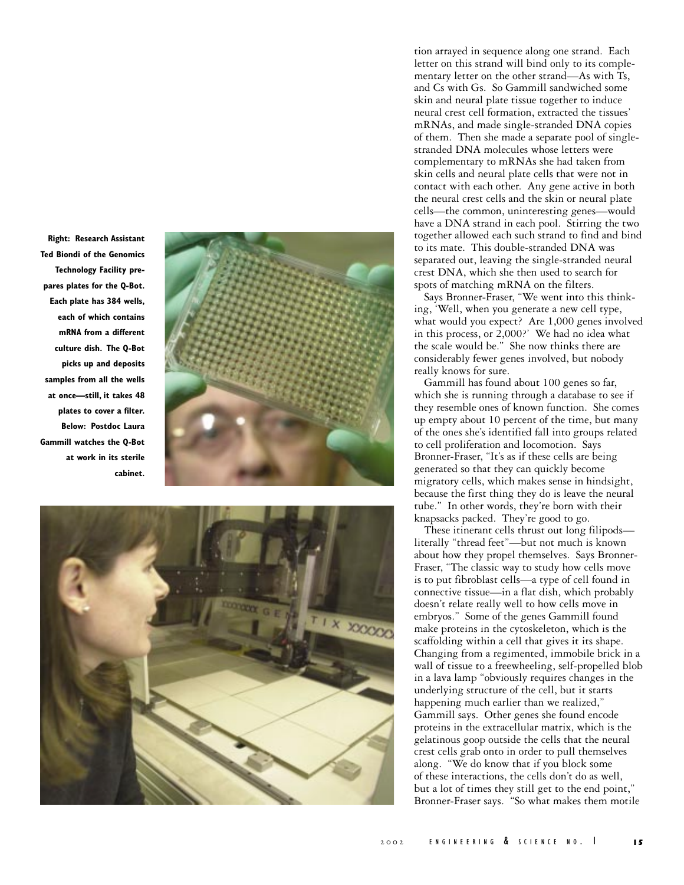**Right: Research Assistant Ted Biondi of the Genomics Technology Facility prepares plates for the Q-Bot. Each plate has 384 wells, each of which contains mRNA from a different culture dish. The Q-Bot picks up and deposits samples from all the wells at once—still, it takes 48 plates to cover a filter. Below: Postdoc Laura Gammill watches the Q-Bot at work in its sterile cabinet.**





tion arrayed in sequence along one strand. Each letter on this strand will bind only to its complementary letter on the other strand—As with Ts, and Cs with Gs. So Gammill sandwiched some skin and neural plate tissue together to induce neural crest cell formation, extracted the tissues' mRNAs, and made single-stranded DNA copies of them. Then she made a separate pool of singlestranded DNA molecules whose letters were complementary to mRNAs she had taken from skin cells and neural plate cells that were not in contact with each other. Any gene active in both the neural crest cells and the skin or neural plate cells—the common, uninteresting genes—would have a DNA strand in each pool. Stirring the two together allowed each such strand to find and bind to its mate. This double-stranded DNA was separated out, leaving the single-stranded neural crest DNA, which she then used to search for spots of matching mRNA on the filters.

Says Bronner-Fraser, "We went into this thinking, 'Well, when you generate a new cell type, what would you expect? Are 1,000 genes involved in this process, or 2,000?' We had no idea what the scale would be." She now thinks there are considerably fewer genes involved, but nobody really knows for sure.

Gammill has found about 100 genes so far, which she is running through a database to see if they resemble ones of known function. She comes up empty about 10 percent of the time, but many of the ones she's identified fall into groups related to cell proliferation and locomotion. Says Bronner-Fraser, "It's as if these cells are being generated so that they can quickly become migratory cells, which makes sense in hindsight, because the first thing they do is leave the neural tube." In other words, they're born with their knapsacks packed. They're good to go.

These itinerant cells thrust out long filipods literally "thread feet"—but not much is known about how they propel themselves. Says Bronner-Fraser, "The classic way to study how cells move is to put fibroblast cells—a type of cell found in connective tissue—in a flat dish, which probably doesn't relate really well to how cells move in embryos." Some of the genes Gammill found make proteins in the cytoskeleton, which is the scaffolding within a cell that gives it its shape. Changing from a regimented, immobile brick in a wall of tissue to a freewheeling, self-propelled blob in a lava lamp "obviously requires changes in the underlying structure of the cell, but it starts happening much earlier than we realized," Gammill says. Other genes she found encode proteins in the extracellular matrix, which is the gelatinous goop outside the cells that the neural crest cells grab onto in order to pull themselves along. "We do know that if you block some of these interactions, the cells don't do as well, but a lot of times they still get to the end point," Bronner-Fraser says. "So what makes them motile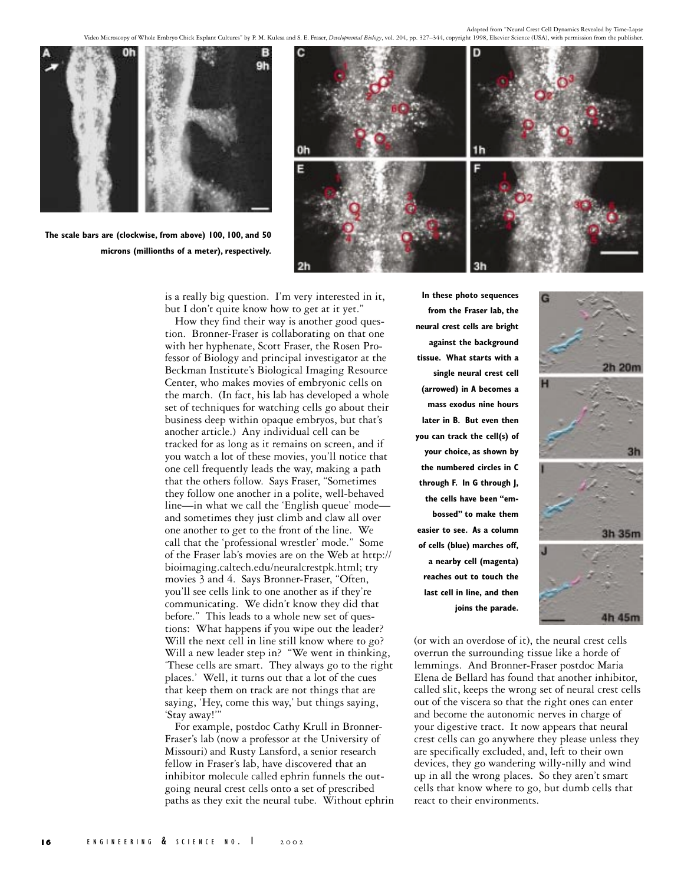

**The scale bars are (clockwise, from above) 100, 100, and 50 microns (millionths of a meter), respectively.**



is a really big question. I'm very interested in it, but I don't quite know how to get at it yet."

How they find their way is another good question. Bronner-Fraser is collaborating on that one with her hyphenate, Scott Fraser, the Rosen Professor of Biology and principal investigator at the Beckman Institute's Biological Imaging Resource Center, who makes movies of embryonic cells on the march. (In fact, his lab has developed a whole set of techniques for watching cells go about their business deep within opaque embryos, but that's another article.) Any individual cell can be tracked for as long as it remains on screen, and if you watch a lot of these movies, you'll notice that one cell frequently leads the way, making a path that the others follow. Says Fraser, "Sometimes they follow one another in a polite, well-behaved line—in what we call the 'English queue' mode and sometimes they just climb and claw all over one another to get to the front of the line. We call that the 'professional wrestler' mode." Some of the Fraser lab's movies are on the Web at http:// bioimaging.caltech.edu/neuralcrestpk.html; try movies 3 and 4. Says Bronner-Fraser, "Often, you'll see cells link to one another as if they're communicating. We didn't know they did that before." This leads to a whole new set of questions: What happens if you wipe out the leader? Will the next cell in line still know where to go? Will a new leader step in? "We went in thinking, 'These cells are smart. They always go to the right places.' Well, it turns out that a lot of the cues that keep them on track are not things that are saying, 'Hey, come this way,' but things saying, 'Stay away!'

For example, postdoc Cathy Krull in Bronner-Fraser's lab (now a professor at the University of Missouri) and Rusty Lansford, a senior research fellow in Fraser's lab, have discovered that an inhibitor molecule called ephrin funnels the outgoing neural crest cells onto a set of prescribed paths as they exit the neural tube. Without ephrin

**In these photo sequences from the Fraser lab, the neural crest cells are bright against the background tissue. What starts with a single neural crest cell (arrowed) in A becomes a mass exodus nine hours later in B. But even then you can track the cell(s) of your choice, as shown by the numbered circles in C through F. In G through J, the cells have been "embossed" to make them easier to see. As a column of cells (blue) marches off, a nearby cell (magenta) reaches out to touch the last cell in line, and then joins the parade.**



(or with an overdose of it), the neural crest cells overrun the surrounding tissue like a horde of lemmings. And Bronner-Fraser postdoc Maria Elena de Bellard has found that another inhibitor, called slit, keeps the wrong set of neural crest cells out of the viscera so that the right ones can enter and become the autonomic nerves in charge of your digestive tract. It now appears that neural crest cells can go anywhere they please unless they are specifically excluded, and, left to their own devices, they go wandering willy-nilly and wind up in all the wrong places. So they aren't smart cells that know where to go, but dumb cells that react to their environments.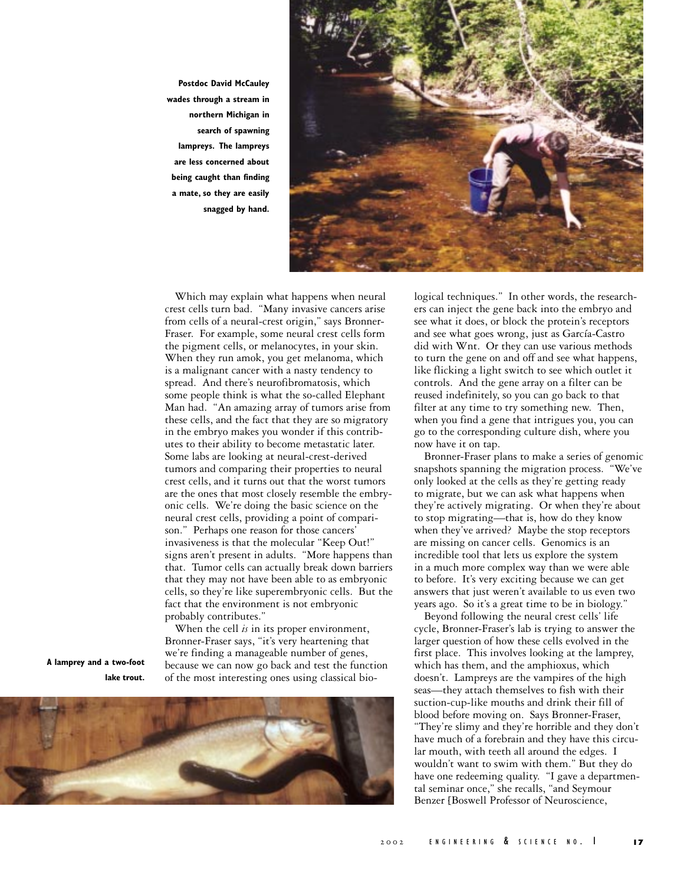**Postdoc David McCauley wades through a stream in northern Michigan in search of spawning lampreys. The lampreys are less concerned about being caught than finding a mate, so they are easily snagged by hand.**



Which may explain what happens when neural crest cells turn bad. "Many invasive cancers arise from cells of a neural-crest origin," says Bronner-Fraser. For example, some neural crest cells form the pigment cells, or melanocytes, in your skin. When they run amok, you get melanoma, which is a malignant cancer with a nasty tendency to spread. And there's neurofibromatosis, which some people think is what the so-called Elephant Man had. "An amazing array of tumors arise from these cells, and the fact that they are so migratory in the embryo makes you wonder if this contributes to their ability to become metastatic later. Some labs are looking at neural-crest-derived tumors and comparing their properties to neural crest cells, and it turns out that the worst tumors are the ones that most closely resemble the embryonic cells. We're doing the basic science on the neural crest cells, providing a point of comparison." Perhaps one reason for those cancers' invasiveness is that the molecular "Keep Out!" signs aren't present in adults. "More happens than that. Tumor cells can actually break down barriers that they may not have been able to as embryonic cells, so they're like superembryonic cells. But the fact that the environment is not embryonic probably contributes."

When the cell *is* in its proper environment, Bronner-Fraser says, "it's very heartening that we're finding a manageable number of genes, because we can now go back and test the function of the most interesting ones using classical bio-

**A lamprey and a two-foot lake trout.**



logical techniques." In other words, the researchers can inject the gene back into the embryo and see what it does, or block the protein's receptors and see what goes wrong, just as García-Castro did with Wnt. Or they can use various methods to turn the gene on and off and see what happens, like flicking a light switch to see which outlet it controls. And the gene array on a filter can be reused indefinitely, so you can go back to that filter at any time to try something new. Then, when you find a gene that intrigues you, you can go to the corresponding culture dish, where you now have it on tap.

Bronner-Fraser plans to make a series of genomic snapshots spanning the migration process. "We've only looked at the cells as they're getting ready to migrate, but we can ask what happens when they're actively migrating. Or when they're about to stop migrating—that is, how do they know when they've arrived? Maybe the stop receptors are missing on cancer cells. Genomics is an incredible tool that lets us explore the system in a much more complex way than we were able to before. It's very exciting because we can get answers that just weren't available to us even two years ago. So it's a great time to be in biology."

Beyond following the neural crest cells' life cycle, Bronner-Fraser's lab is trying to answer the larger question of how these cells evolved in the first place. This involves looking at the lamprey, which has them, and the amphioxus, which doesn't. Lampreys are the vampires of the high seas—they attach themselves to fish with their suction-cup-like mouths and drink their fill of blood before moving on. Says Bronner-Fraser, "They're slimy and they're horrible and they don't have much of a forebrain and they have this circular mouth, with teeth all around the edges. I wouldn't want to swim with them." But they do have one redeeming quality. "I gave a departmental seminar once," she recalls, "and Seymour Benzer [Boswell Professor of Neuroscience,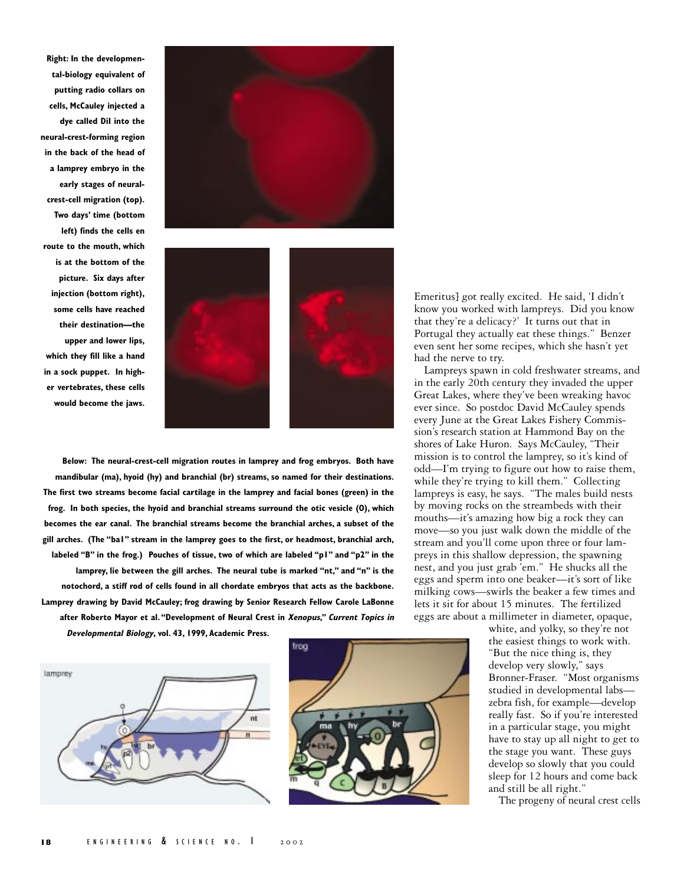**Right: In the developmental-biology equivalent of putting radio collars on cells, McCauley injected a dye called DiI into the neural-crest-forming region in the back of the head of a lamprey embryo in the early stages of neuralcrest-cell migration (top). Two days' time (bottom left) finds the cells en route to the mouth, which upper and lower lips, which they fill like a hand in a sock puppet. In higher vertebrates, these cells would become the jaws.**







**Below: The neural-crest-cell migration routes in lamprey and frog embryos. Both have mandibular (ma), hyoid (hy) and branchial (br) streams, so named for their destinations. The first two streams become facial cartilage in the lamprey and facial bones (green) in the frog. In both species, the hyoid and branchial streams surround the otic vesicle (O), which becomes the ear canal. The branchial streams become the branchial arches, a subset of the gill arches. (The "ba1" stream in the lamprey goes to the first, or headmost, branchial arch, labeled "B" in the frog.) Pouches of tissue, two of which are labeled "p1" and "p2" in the lamprey, lie between the gill arches. The neural tube is marked "nt," and "n" is the notochord, a stiff rod of cells found in all chordate embryos that acts as the backbone. Lamprey drawing by David McCauley; frog drawing by Senior Research Fellow Carole LaBonne after Roberto Mayor et al. "Development of Neural Crest in Xenopus," Current Topics in**

**Developmental Biology, vol. 43, 1999, Academic Press.**





Emeritus] got really excited. He said, 'I didn't know you worked with lampreys. Did you know that they're a delicacy?' It turns out that in Portugal they actually eat these things." Benzer even sent her some recipes, which she hasn't yet had the nerve to try.

Lampreys spawn in cold freshwater streams, and in the early 20th century they invaded the upper Great Lakes, where they've been wreaking havoc ever since. So postdoc David McCauley spends every June at the Great Lakes Fishery Commission's research station at Hammond Bay on the shores of Lake Huron. Says McCauley, "Their mission is to control the lamprey, so it's kind of odd—I'm trying to figure out how to raise them, while they're trying to kill them." Collecting lampreys is easy, he says. "The males build nests by moving rocks on the streambeds with their mouths—it's amazing how big a rock they can move—so you just walk down the middle of the stream and you'll come upon three or four lampreys in this shallow depression, the spawning nest, and you just grab 'em." He shucks all the eggs and sperm into one beaker—it's sort of like milking cows—swirls the beaker a few times and lets it sit for about 15 minutes. The fertilized eggs are about a millimeter in diameter, opaque,

> white, and yolky, so they're not the easiest things to work with. "But the nice thing is, they develop very slowly," says Bronner-Fraser. "Most organisms studied in developmental labs zebra fish, for example—develop really fast. So if you're interested in a particular stage, you might have to stay up all night to get to the stage you want. These guys develop so slowly that you could sleep for 12 hours and come back and still be all right."

The progeny of neural crest cells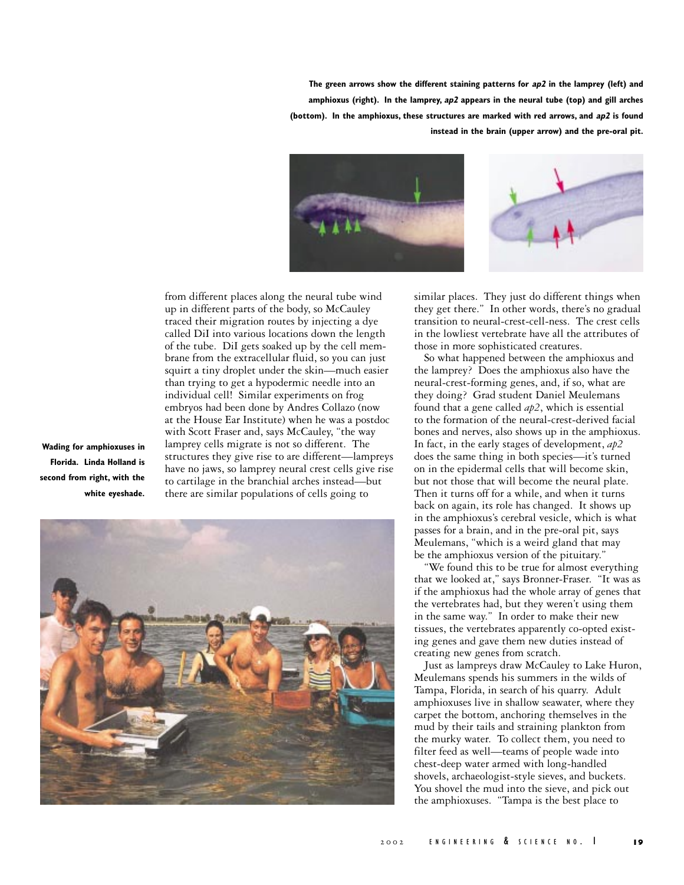**The green arrows show the different staining patterns for ap2 in the lamprey (left) and amphioxus (right). In the lamprey, ap2 appears in the neural tube (top) and gill arches (bottom). In the amphioxus, these structures are marked with red arrows, and ap2 is found instead in the brain (upper arrow) and the pre-oral pit.**





from different places along the neural tube wind up in different parts of the body, so McCauley traced their migration routes by injecting a dye called DiI into various locations down the length of the tube. DiI gets soaked up by the cell membrane from the extracellular fluid, so you can just squirt a tiny droplet under the skin—much easier than trying to get a hypodermic needle into an individual cell! Similar experiments on frog embryos had been done by Andres Collazo (now at the House Ear Institute) when he was a postdoc with Scott Fraser and, says McCauley, "the way lamprey cells migrate is not so different. The structures they give rise to are different—lampreys have no jaws, so lamprey neural crest cells give rise to cartilage in the branchial arches instead—but there are similar populations of cells going to

**Wading for amphioxuses in Florida. Linda Holland is second from right, with the white eyeshade.**



similar places. They just do different things when they get there." In other words, there's no gradual transition to neural-crest-cell-ness. The crest cells in the lowliest vertebrate have all the attributes of those in more sophisticated creatures.

So what happened between the amphioxus and the lamprey? Does the amphioxus also have the neural-crest-forming genes, and, if so, what are they doing? Grad student Daniel Meulemans found that a gene called *ap2*, which is essential to the formation of the neural-crest-derived facial bones and nerves, also shows up in the amphioxus. In fact, in the early stages of development, *ap2* does the same thing in both species—it's turned on in the epidermal cells that will become skin, but not those that will become the neural plate. Then it turns off for a while, and when it turns back on again, its role has changed. It shows up in the amphioxus's cerebral vesicle, which is what passes for a brain, and in the pre-oral pit, says Meulemans, "which is a weird gland that may be the amphioxus version of the pituitary."

"We found this to be true for almost everything that we looked at," says Bronner-Fraser. "It was as if the amphioxus had the whole array of genes that the vertebrates had, but they weren't using them in the same way." In order to make their new tissues, the vertebrates apparently co-opted existing genes and gave them new duties instead of creating new genes from scratch.

Just as lampreys draw McCauley to Lake Huron, Meulemans spends his summers in the wilds of Tampa, Florida, in search of his quarry. Adult amphioxuses live in shallow seawater, where they carpet the bottom, anchoring themselves in the mud by their tails and straining plankton from the murky water. To collect them, you need to filter feed as well—teams of people wade into chest-deep water armed with long-handled shovels, archaeologist-style sieves, and buckets. You shovel the mud into the sieve, and pick out the amphioxuses. "Tampa is the best place to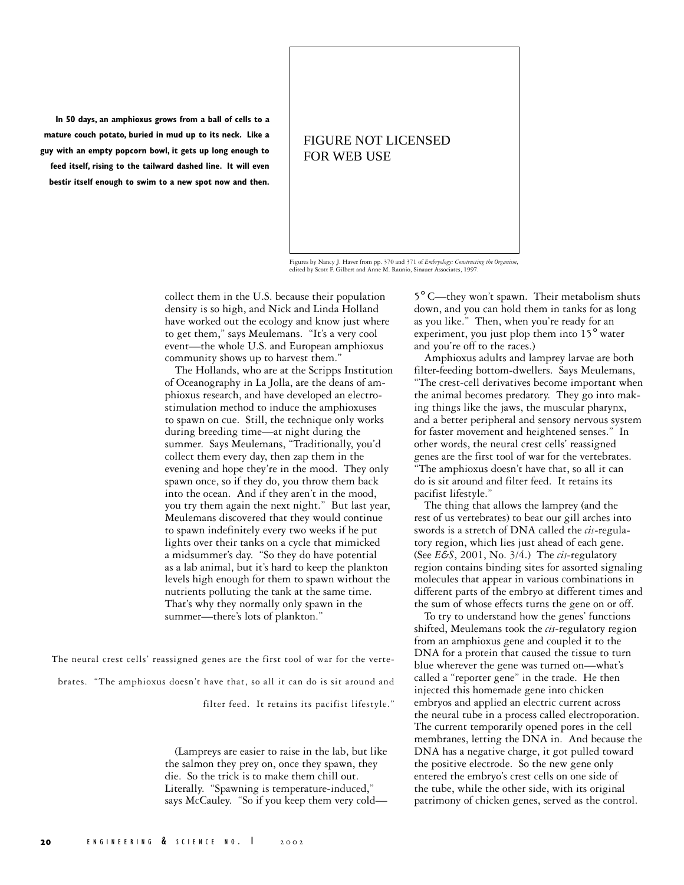**In 50 days, an amphioxus grows from a ball of cells to a mature couch potato, buried in mud up to its neck. Like a guy with an empty popcorn bowl, it gets up long enough to feed itself, rising to the tailward dashed line. It will even bestir itself enough to swim to a new spot now and then.**

## FIGURE NOT LICENSED FOR WEB USE

Figures by Nancy J. Haver from pp. 370 and 371 of *Embryology: Constructing the Organism*, edited by Scott F. Gilbert and Anne M. Raunio, Sinauer Associates, 1997.

collect them in the U.S. because their population density is so high, and Nick and Linda Holland have worked out the ecology and know just where to get them," says Meulemans. "It's a very cool event—the whole U.S. and European amphioxus community shows up to harvest them."

The Hollands, who are at the Scripps Institution of Oceanography in La Jolla, are the deans of amphioxus research, and have developed an electrostimulation method to induce the amphioxuses to spawn on cue. Still, the technique only works during breeding time—at night during the summer. Says Meulemans, "Traditionally, you'd collect them every day, then zap them in the evening and hope they're in the mood. They only spawn once, so if they do, you throw them back into the ocean. And if they aren't in the mood, you try them again the next night." But last year, Meulemans discovered that they would continue to spawn indefinitely every two weeks if he put lights over their tanks on a cycle that mimicked a midsummer's day. "So they do have potential as a lab animal, but it's hard to keep the plankton levels high enough for them to spawn without the nutrients polluting the tank at the same time. That's why they normally only spawn in the summer—there's lots of plankton."

The neural crest cells' reassigned genes are the first tool of war for the vertebrates. "The amphioxus doesn't have that, so all it can do is sit around and

filter feed. It retains its pacifist lifestyle."

(Lampreys are easier to raise in the lab, but like the salmon they prey on, once they spawn, they die. So the trick is to make them chill out. Literally. "Spawning is temperature-induced," says McCauley. "So if you keep them very cold5° C—they won't spawn. Their metabolism shuts down, and you can hold them in tanks for as long as you like." Then, when you're ready for an experiment, you just plop them into 15° water and you're off to the races.)

Amphioxus adults and lamprey larvae are both filter-feeding bottom-dwellers. Says Meulemans, "The crest-cell derivatives become important when the animal becomes predatory. They go into making things like the jaws, the muscular pharynx, and a better peripheral and sensory nervous system for faster movement and heightened senses." In other words, the neural crest cells' reassigned genes are the first tool of war for the vertebrates. "The amphioxus doesn't have that, so all it can do is sit around and filter feed. It retains its pacifist lifestyle."

The thing that allows the lamprey (and the rest of us vertebrates) to beat our gill arches into swords is a stretch of DNA called the *cis*-regulatory region, which lies just ahead of each gene. (See *E&S*, 2001, No. 3/4.) The *cis*-regulatory region contains binding sites for assorted signaling molecules that appear in various combinations in different parts of the embryo at different times and the sum of whose effects turns the gene on or off.

To try to understand how the genes' functions shifted, Meulemans took the *cis*-regulatory region from an amphioxus gene and coupled it to the DNA for a protein that caused the tissue to turn blue wherever the gene was turned on—what's called a "reporter gene" in the trade. He then injected this homemade gene into chicken embryos and applied an electric current across the neural tube in a process called electroporation. The current temporarily opened pores in the cell membranes, letting the DNA in. And because the DNA has a negative charge, it got pulled toward the positive electrode. So the new gene only entered the embryo's crest cells on one side of the tube, while the other side, with its original patrimony of chicken genes, served as the control.